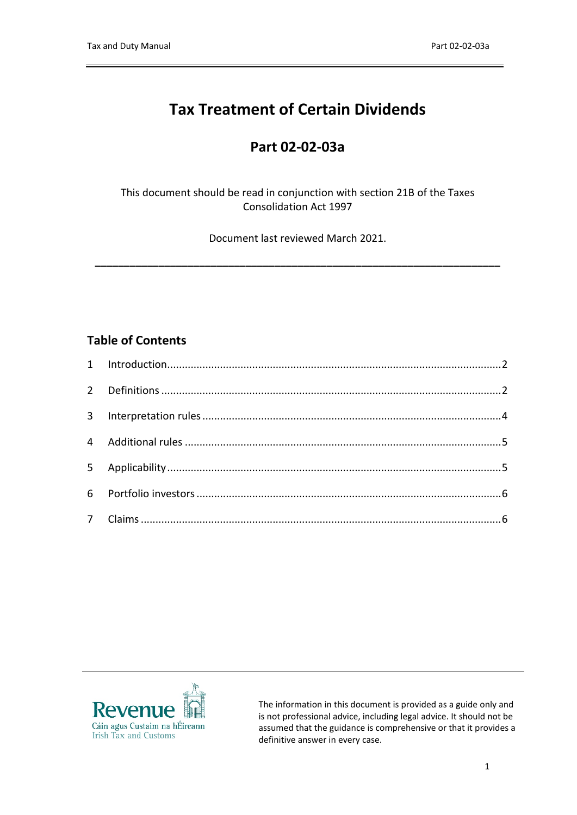# **Tax Treatment of Certain Dividends**

## **Part 02-02-03a**

#### This document should be read in conjunction with section 21B of the Taxes Consolidation Act 1997

Document last reviewed March 2021.

**\_\_\_\_\_\_\_\_\_\_\_\_\_\_\_\_\_\_\_\_\_\_\_\_\_\_\_\_\_\_\_\_\_\_\_\_\_\_\_\_\_\_\_\_\_\_\_\_\_\_\_\_\_\_\_\_\_\_\_\_\_\_\_\_\_\_\_\_\_\_**

#### **Table of Contents**



The information in this document is provided as a guide only and is not professional advice, including legal advice. It should not be assumed that the guidance is comprehensive or that it provides a definitive answer in every case.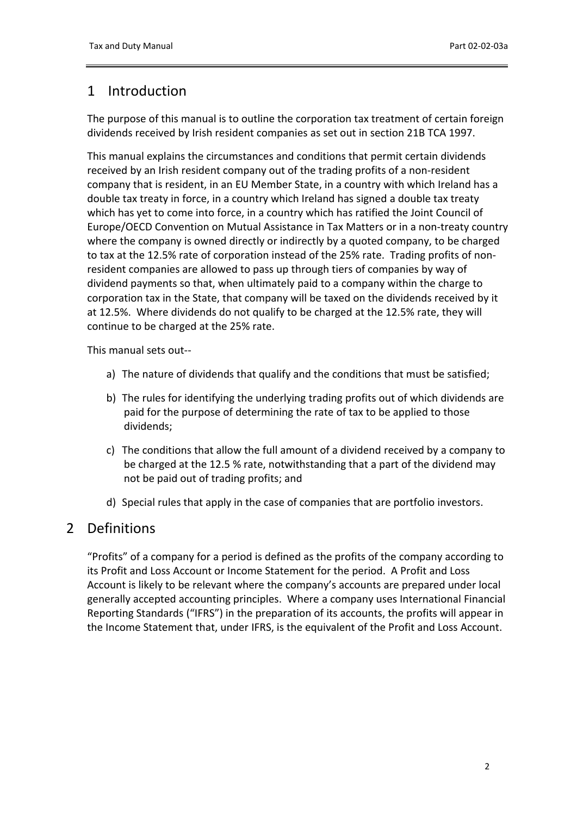## <span id="page-1-0"></span>1 Introduction

The purpose of this manual is to outline the corporation tax treatment of certain foreign dividends received by Irish resident companies as set out in section 21B TCA 1997.

This manual explains the circumstances and conditions that permit certain dividends received by an Irish resident company out of the trading profits of a non-resident company that is resident, in an EU Member State, in a country with which Ireland has a double tax treaty in force, in a country which Ireland has signed a double tax treaty which has yet to come into force, in a country which has ratified the Joint Council of Europe/OECD Convention on Mutual Assistance in Tax Matters or in a non-treaty country where the company is owned directly or indirectly by a quoted company, to be charged to tax at the 12.5% rate of corporation instead of the 25% rate. Trading profits of nonresident companies are allowed to pass up through tiers of companies by way of dividend payments so that, when ultimately paid to a company within the charge to corporation tax in the State, that company will be taxed on the dividends received by it at 12.5%. Where dividends do not qualify to be charged at the 12.5% rate, they will continue to be charged at the 25% rate.

This manual sets out--

- a) The nature of dividends that qualify and the conditions that must be satisfied;
- b) The rules for identifying the underlying trading profits out of which dividends are paid for the purpose of determining the rate of tax to be applied to those dividends;
- c) The conditions that allow the full amount of a dividend received by a company to be charged at the 12.5 % rate, notwithstanding that a part of the dividend may not be paid out of trading profits; and
- d) Special rules that apply in the case of companies that are portfolio investors.

#### <span id="page-1-1"></span>2 Definitions

"Profits" of a company for a period is defined as the profits of the company according to its Profit and Loss Account or Income Statement for the period. A Profit and Loss Account is likely to be relevant where the company's accounts are prepared under local generally accepted accounting principles. Where a company uses International Financial Reporting Standards ("IFRS") in the preparation of its accounts, the profits will appear in the Income Statement that, under IFRS, is the equivalent of the Profit and Loss Account.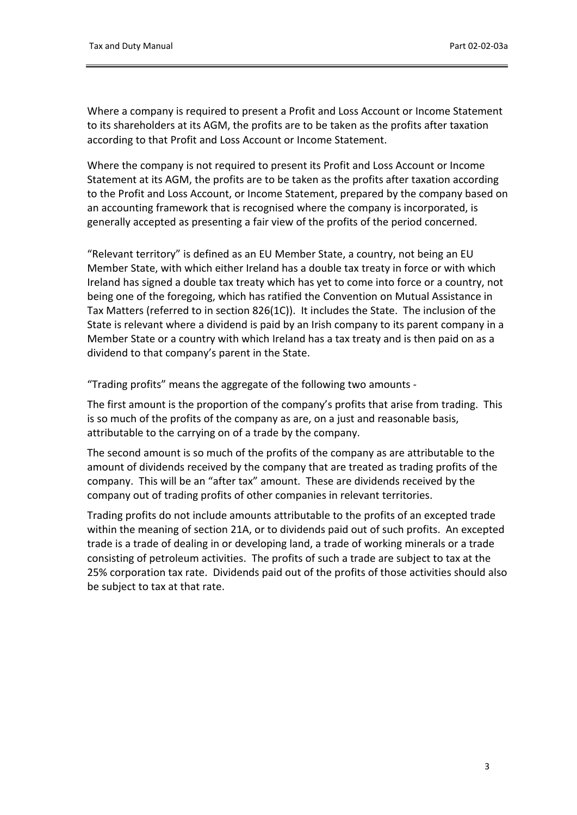Where a company is required to present a Profit and Loss Account or Income Statement to its shareholders at its AGM, the profits are to be taken as the profits after taxation according to that Profit and Loss Account or Income Statement.

Where the company is not required to present its Profit and Loss Account or Income Statement at its AGM, the profits are to be taken as the profits after taxation according to the Profit and Loss Account, or Income Statement, prepared by the company based on an accounting framework that is recognised where the company is incorporated, is generally accepted as presenting a fair view of the profits of the period concerned.

"Relevant territory" is defined as an EU Member State, a country, not being an EU Member State, with which either Ireland has a double tax treaty in force or with which Ireland has signed a double tax treaty which has yet to come into force or a country, not being one of the foregoing, which has ratified the Convention on Mutual Assistance in Tax Matters (referred to in section 826(1C)). It includes the State. The inclusion of the State is relevant where a dividend is paid by an Irish company to its parent company in a Member State or a country with which Ireland has a tax treaty and is then paid on as a dividend to that company's parent in the State.

"Trading profits" means the aggregate of the following two amounts -

The first amount is the proportion of the company's profits that arise from trading. This is so much of the profits of the company as are, on a just and reasonable basis, attributable to the carrying on of a trade by the company.

The second amount is so much of the profits of the company as are attributable to the amount of dividends received by the company that are treated as trading profits of the company. This will be an "after tax" amount. These are dividends received by the company out of trading profits of other companies in relevant territories.

Trading profits do not include amounts attributable to the profits of an excepted trade within the meaning of section 21A, or to dividends paid out of such profits. An excepted trade is a trade of dealing in or developing land, a trade of working minerals or a trade consisting of petroleum activities. The profits of such a trade are subject to tax at the 25% corporation tax rate. Dividends paid out of the profits of those activities should also be subject to tax at that rate.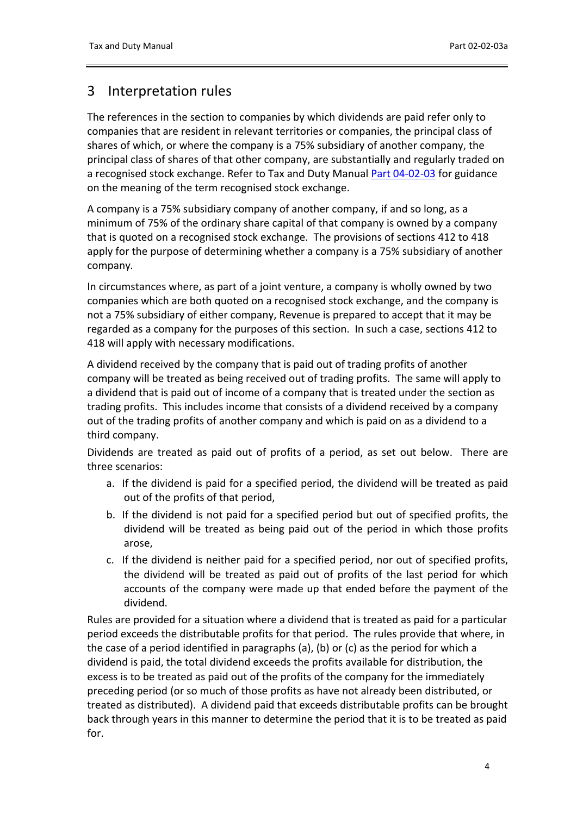### <span id="page-3-0"></span>3 Interpretation rules

The references in the section to companies by which dividends are paid refer only to companies that are resident in relevant territories or companies, the principal class of shares of which, or where the company is a 75% subsidiary of another company, the principal class of shares of that other company, are substantially and regularly traded on a recognised stock exchange. Refer to Tax and Duty Manual [Part](https://www.revenue.ie/en/tax-professionals/tdm/income-tax-capital-gains-tax-corporation-tax/part-04/04-02-03.pdf) [04-02-03](https://www.revenue.ie/en/tax-professionals/tdm/income-tax-capital-gains-tax-corporation-tax/part-04/04-02-03.pdf) for guidance on the meaning of the term recognised stock exchange.

A company is a 75% subsidiary company of another company, if and so long, as a minimum of 75% of the ordinary share capital of that company is owned by a company that is quoted on a recognised stock exchange. The provisions of sections 412 to 418 apply for the purpose of determining whether a company is a 75% subsidiary of another company*.*

In circumstances where, as part of a joint venture, a company is wholly owned by two companies which are both quoted on a recognised stock exchange, and the company is not a 75% subsidiary of either company, Revenue is prepared to accept that it may be regarded as a company for the purposes of this section. In such a case, sections 412 to 418 will apply with necessary modifications.

A dividend received by the company that is paid out of trading profits of another company will be treated as being received out of trading profits. The same will apply to a dividend that is paid out of income of a company that is treated under the section as trading profits. This includes income that consists of a dividend received by a company out of the trading profits of another company and which is paid on as a dividend to a third company.

Dividends are treated as paid out of profits of a period, as set out below. There are three scenarios:

- a. If the dividend is paid for a specified period, the dividend will be treated as paid out of the profits of that period,
- b. If the dividend is not paid for a specified period but out of specified profits, the dividend will be treated as being paid out of the period in which those profits arose,
- c. If the dividend is neither paid for a specified period, nor out of specified profits, the dividend will be treated as paid out of profits of the last period for which accounts of the company were made up that ended before the payment of the dividend.

Rules are provided for a situation where a dividend that is treated as paid for a particular period exceeds the distributable profits for that period. The rules provide that where, in the case of a period identified in paragraphs (a), (b) or (c) as the period for which a dividend is paid, the total dividend exceeds the profits available for distribution, the excess is to be treated as paid out of the profits of the company for the immediately preceding period (or so much of those profits as have not already been distributed, or treated as distributed). A dividend paid that exceeds distributable profits can be brought back through years in this manner to determine the period that it is to be treated as paid for.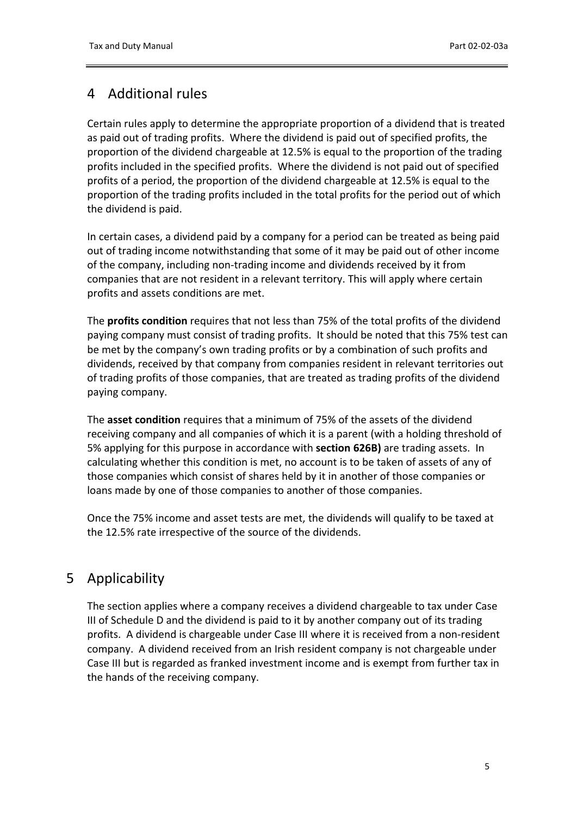# <span id="page-4-0"></span>4 Additional rules

Certain rules apply to determine the appropriate proportion of a dividend that is treated as paid out of trading profits. Where the dividend is paid out of specified profits, the proportion of the dividend chargeable at 12.5% is equal to the proportion of the trading profits included in the specified profits. Where the dividend is not paid out of specified profits of a period, the proportion of the dividend chargeable at 12.5% is equal to the proportion of the trading profits included in the total profits for the period out of which the dividend is paid.

In certain cases, a dividend paid by a company for a period can be treated as being paid out of trading income notwithstanding that some of it may be paid out of other income of the company, including non-trading income and dividends received by it from companies that are not resident in a relevant territory. This will apply where certain profits and assets conditions are met.

The **profits condition** requires that not less than 75% of the total profits of the dividend paying company must consist of trading profits. It should be noted that this 75% test can be met by the company's own trading profits or by a combination of such profits and dividends, received by that company from companies resident in relevant territories out of trading profits of those companies, that are treated as trading profits of the dividend paying company.

The **asset condition** requires that a minimum of 75% of the assets of the dividend receiving company and all companies of which it is a parent (with a holding threshold of 5% applying for this purpose in accordance with **section 626B)** are trading assets. In calculating whether this condition is met, no account is to be taken of assets of any of those companies which consist of shares held by it in another of those companies or loans made by one of those companies to another of those companies.

Once the 75% income and asset tests are met, the dividends will qualify to be taxed at the 12.5% rate irrespective of the source of the dividends.

# <span id="page-4-1"></span>5 Applicability

The section applies where a company receives a dividend chargeable to tax under Case III of Schedule D and the dividend is paid to it by another company out of its trading profits. A dividend is chargeable under Case III where it is received from a non-resident company. A dividend received from an Irish resident company is not chargeable under Case III but is regarded as franked investment income and is exempt from further tax in the hands of the receiving company.